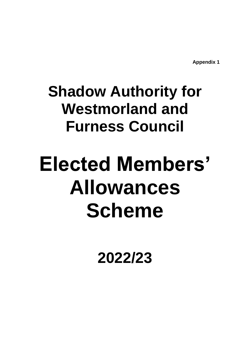**Appendix 1**

# **Shadow Authority for Westmorland and Furness Council**

# **Elected Members' Allowances Scheme**

**2022/23**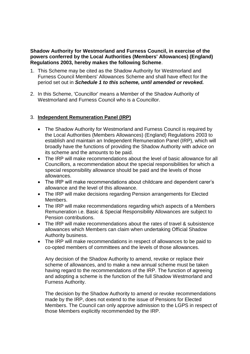#### **Shadow Authority for Westmorland and Furness Council, in exercise of the powers conferred by the Local Authorities (Members' Allowances) (England) Regulations 2003, hereby makes the following Scheme**.

- 1. This Scheme may be cited as the Shadow Authority for Westmorland and Furness Council Members' Allowances Scheme and shall have effect for the period set out in *Schedule 1 to this scheme, until amended or revoked.*
- 2. In this Scheme, 'Councillor' means a Member of the Shadow Authority of Westmorland and Furness Council who is a Councillor.

# 3. **Independent Remuneration Panel (IRP)**

- The Shadow Authority for Westmorland and Furness Council is required by the Local Authorities (Members Allowances) (England) Regulations 2003 to establish and maintain an Independent Remuneration Panel (IRP), which will broadly have the functions of providing the Shadow Authority with advice on its scheme and the amounts to be paid.
- The IRP will make recommendations about the level of basic allowance for all Councillors, a recommendation about the special responsibilities for which a special responsibility allowance should be paid and the levels of those allowances.
- The IRP will make recommendations about childcare and dependent carer's allowance and the level of this allowance.
- The IRP will make decisions regarding Pension arrangements for Elected Members.
- The IRP will make recommendations regarding which aspects of a Members Remuneration i.e. Basic & Special Responsibility Allowances are subject to Pension contributions.
- The IRP will make recommendations about the rates of travel & subsistence allowances which Members can claim when undertaking Official Shadow Authority business.
- The IRP will make recommendations in respect of allowances to be paid to co-opted members of committees and the levels of those allowances.

Any decision of the Shadow Authority to amend, revoke or replace their scheme of allowances, and to make a new annual scheme must be taken having regard to the recommendations of the IRP. The function of agreeing and adopting a scheme is the function of the full Shadow Westmorland and Furness Authority.

The decision by the Shadow Authority to amend or revoke recommendations made by the IRP, does not extend to the issue of Pensions for Elected Members. The Council can only approve admission to the LGPS in respect of those Members explicitly recommended by the IRP.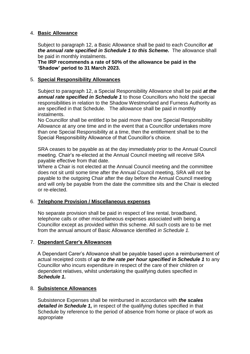#### 4. **Basic Allowance**

Subject to paragraph 12, a Basic Allowance shall be paid to each Councillor *at the annual rate specified in Schedule 1 to this Scheme.* The allowance shall be paid in monthly instalments.

**The IRP recommends a rate of 50% of the allowance be paid in the 'Shadow' period to 31 March 2023.**

#### 5. **Special Responsibility Allowances**

Subject to paragraph 12, a Special Responsibility Allowance shall be paid *at the annual rate specified in Schedule 1* to those Councillors who hold the special responsibilities in relation to the Shadow Westmorland and Furness Authority as are specified in that Schedule. The allowance shall be paid in monthly instalments.

No Councillor shall be entitled to be paid more than one Special Responsibility Allowance at any one time and in the event that a Councillor undertakes more than one Special Responsibility at a time, then the entitlement shall be to the Special Responsibility Allowance of that Councillor's choice.

SRA ceases to be payable as at the day immediately prior to the Annual Council meeting. Chair's re-elected at the Annual Council meeting will receive SRA payable effective from that date.

Where a Chair is not elected at the Annual Council meeting and the committee does not sit until some time after the Annual Council meeting, SRA will not be payable to the outgoing Chair after the day before the Annual Council meeting and will only be payable from the date the committee sits and the Chair is elected or re-elected.

# 6. **Telephone Provision / Miscellaneous expenses**

No separate provision shall be paid in respect of line rental, broadband, telephone calls or other miscellaneous expenses associated with being a Councillor except as provided within this scheme. All such costs are to be met from the annual amount of Basic Allowance identified *in Schedule 1.*

# 7. **Dependant Carer's Allowances**

A Dependant Carer's Allowance shall be payable based upon a reimbursement of actual receipted costs of *up to the rate per hour specified in Schedule 1* to any Councillor who incurs expenditure in respect of the care of their children or dependent relatives, whilst undertaking the qualifying duties specified in *Schedule 1.*

#### 8. **Subsistence Allowances**

Subsistence Expenses shall be reimbursed in accordance with *the scales detailed in Schedule 1,* in respect of the qualifying duties specified in that Schedule by reference to the period of absence from home or place of work as appropriate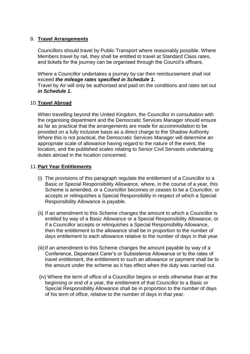#### 9. **Travel Arrangements**

Councillors should travel by Public Transport where reasonably possible. Where Members travel by rail, they shall be entitled to travel at Standard Class rates, and tickets for the journey can be organised through the Council's officers.

Where a Councillor undertakes a journey by car then reimbursement shall not exceed *the mileage rates specified in Schedule 1.* Travel by Air will only be authorised and paid on the conditions and rates set out *in Schedule 1.*

#### 10.**Travel Abroad**

When travelling beyond the United Kingdom, the Councillor in consultation with the organising department and the Democratic Services Manager should ensure as far as practical that the arrangements are made for accommodation to be provided on a fully inclusive basis as a direct charge to the Shadow Authority. Where this is not practical, the Democratic Services Manager will determine an appropriate scale of allowance having regard to the nature of the event, the location, and the published scales relating to Senior Civil Servants undertaking duties abroad in the location concerned.

#### 11.**Part Year Entitlements**

- (i) The provisions of this paragraph regulate the entitlement of a Councillor to a Basic or Special Responsibility Allowance, where, in the course of a year, this Scheme is amended, or a Councillor becomes or ceases to be a Councillor, or accepts or relinquishes a Special Responsibility in respect of which a Special Responsibility Allowance is payable.
- (ii) If an amendment to this Scheme changes the amount to which a Councillor is entitled by way of a Basic Allowance or a Special Responsibility Allowance, or if a Councillor accepts or relinquishes a Special Responsibility Allowance, then the entitlement to the allowance shall be in proportion to the number of days entitlement to each allowance relative to the number of days in that year.
- (iii) If an amendment to this Scheme changes the amount payable by way of a Conference, Dependant Carer's or Subsistence Allowance or to the rates of travel entitlement, the entitlement to such an allowance or payment shall be to the amount under the scheme as it has effect when the duty was carried out.
- (iv) Where the term of office of a Councillor begins or ends otherwise than at the beginning or end of a year, the entitlement of that Councillor to a Basic or Special Responsibility Allowance shall be in proportion to the number of days of his term of office, relative to the number of days in that year.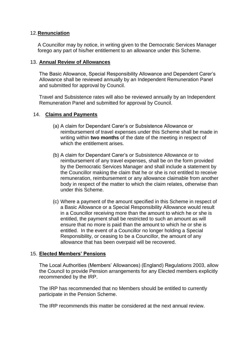#### 12.**Renunciation**

A Councillor may by notice, in writing given to the Democratic Services Manager forego any part of his/her entitlement to an allowance under this Scheme.

#### 13. **Annual Review of Allowances**

The Basic Allowance, Special Responsibility Allowance and Dependent Carer's Allowance shall be reviewed annually by an Independent Remuneration Panel and submitted for approval by Council.

Travel and Subsistence rates will also be reviewed annually by an Independent Remuneration Panel and submitted for approval by Council.

#### 14. **Claims and Payments**

- (a) A claim for Dependant Carer's or Subsistence Allowance or reimbursement of travel expenses under this Scheme shall be made in writing within **two months** of the date of the meeting in respect of which the entitlement arises.
- (b) A claim for Dependant Carer's or Subsistence Allowance or to reimbursement of any travel expenses, shall be on the form provided by the Democratic Services Manager and shall include a statement by the Councillor making the claim that he or she is not entitled to receive remuneration, reimbursement or any allowance claimable from another body in respect of the matter to which the claim relates, otherwise than under this Scheme.
- (c) Where a payment of the amount specified in this Scheme in respect of a Basic Allowance or a Special Responsibility Allowance would result in a Councillor receiving more than the amount to which he or she is entitled, the payment shall be restricted to such an amount as will ensure that no more is paid than the amount to which he or she is entitled. In the event of a Councillor no longer holding a Special Responsibility, or ceasing to be a Councillor, the amount of any allowance that has been overpaid will be recovered.

# 15. **Elected Members' Pensions**

The Local Authorities (Members' Allowances) (England) Regulations 2003, allow the Council to provide Pension arrangements for any Elected members explicitly recommended by the IRP.

The IRP has recommended that no Members should be entitled to currently participate in the Pension Scheme.

The IRP recommends this matter be considered at the next annual review.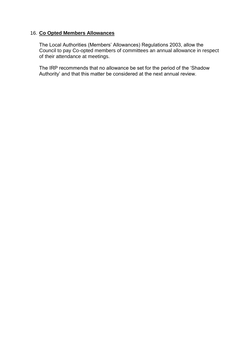#### 16. **Co Opted Members Allowances**

The Local Authorities (Members' Allowances) Regulations 2003, allow the Council to pay Co-opted members of committees an annual allowance in respect of their attendance at meetings.

The IRP recommends that no allowance be set for the period of the 'Shadow Authority' and that this matter be considered at the next annual review.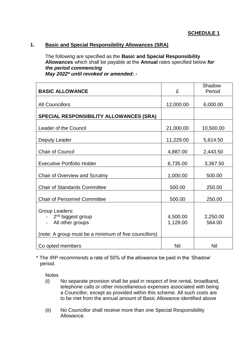# **1. Basic and Special Responsibility Allowances (SRA)**

The following are specified as the **Basic and Special Responsibility Allowances** which shall be payable at the **Annual** rates specified below *for the period commencing May 2022\* until revoked or amended: -*

| <b>BASIC ALLOWANCE</b>                                                                                                       | £                    | Shadow<br>Period   |
|------------------------------------------------------------------------------------------------------------------------------|----------------------|--------------------|
| <b>All Councillors</b>                                                                                                       | 12,000.00            | 6,000.00           |
| <b>SPECIAL RESPONSIBILITY ALLOWANCES (SRA)</b>                                                                               |                      |                    |
| Leader of the Council                                                                                                        | 21,000.00            | 10,500.00          |
| Deputy Leader                                                                                                                | 11,229.00            | 5,614.50           |
| <b>Chair of Council</b>                                                                                                      | 4,887.00             | 2,443.50           |
| <b>Executive Portfolio Holder</b>                                                                                            | 6,735.00             | 3,367.50           |
| <b>Chair of Overview and Scrutiny</b>                                                                                        | 1,000.00             | 500.00             |
| <b>Chair of Standards Committee</b>                                                                                          | 500.00               | 250.00             |
| <b>Chair of Personnel Committee</b>                                                                                          | 500.00               | 250.00             |
| Group Leaders:<br>2 <sup>nd</sup> biggest group<br>All other groups<br>(note: A group must be a minimum of five councillors) | 4,500.00<br>1,128.00 | 2,250.00<br>564.00 |
| Co opted members                                                                                                             | Nil                  | Nil                |

\* The IRP recommends a rate of 50% of the allowance be paid in the 'Shadow' period.

**Notes** 

- (i) No separate provision shall be paid in respect of line rental, broadband, telephone calls or other miscellaneous expenses associated with being a Councillor, except as provided within this scheme. All such costs are to be met from the annual amount of Basic Allowance identified above
- (ii) No Councillor shall receive more than one Special Responsibility Allowance.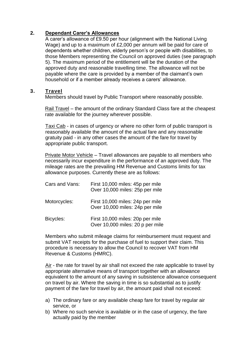#### **2. Dependant Carer's Allowances**

A carer's allowance of £9.50 per hour (alignment with the National Living Wage) and up to a maximum of £2,000 per annum will be paid for care of dependents whether children, elderly person's or people with disabilities, to those Members representing the Council on approved duties (see paragraph 5). The maximum period of the entitlement will be the duration of the approved duty and reasonable travelling time. The allowance will not be payable where the care is provided by a member of the claimant's own household or if a member already receives a carers' allowance.

#### **3. Travel**

Members should travel by Public Transport where reasonably possible.

Rail Travel – the amount of the ordinary Standard Class fare at the cheapest rate available for the journey wherever possible.

Taxi Cab - in cases of urgency or where no other form of public transport is reasonably available the amount of the actual fare and any reasonable gratuity paid - in any other cases the amount of the fare for travel by appropriate public transport.

Private Motor Vehicle – Travel allowances are payable to all members who necessarily incur expenditure in the performance of an approved duty. The mileage rates are the prevailing HM Revenue and Customs limits for tax allowance purposes. Currently these are as follows:

| Cars and Vans: | First 10,000 miles: 45p per mile<br>Over 10,000 miles: 25p per mile  |
|----------------|----------------------------------------------------------------------|
| Motorcycles:   | First 10,000 miles: 24p per mile<br>Over 10,000 miles: 24p per mile  |
| Bicycles:      | First 10,000 miles: 20p per mile<br>Over 10,000 miles: 20 p per mile |

Members who submit mileage claims for reimbursement must request and submit VAT receipts for the purchase of fuel to support their claim. This procedure is necessary to allow the Council to recover VAT from HM Revenue & Customs (HMRC).

Air - the rate for travel by air shall not exceed the rate applicable to travel by appropriate alternative means of transport together with an allowance equivalent to the amount of any saving in subsistence allowance consequent on travel by air. Where the saving in time is so substantial as to justify payment of the fare for travel by air, the amount paid shall not exceed:

- a) The ordinary fare or any available cheap fare for travel by regular air service, or
- b) Where no such service is available or in the case of urgency, the fare actually paid by the member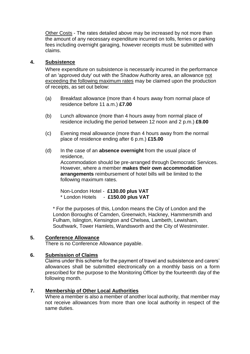Other Costs - The rates detailed above may be increased by not more than the amount of any necessary expenditure incurred on tolls, ferries or parking fees including overnight garaging, however receipts must be submitted with claims.

### **4. Subsistence**

Where expenditure on subsistence is necessarily incurred in the performance of an 'approved duty' out with the Shadow Authority area, an allowance not exceeding the following maximum rates may be claimed upon the production of receipts, as set out below:

- (a) Breakfast allowance (more than 4 hours away from normal place of residence before 11 a.m.) **£7.00**
- (b) Lunch allowance (more than 4 hours away from normal place of residence including the period between 12 noon and 2 p.m.) **£9.00**
- (c) Evening meal allowance (more than 4 hours away from the normal place of residence ending after 6 p.m.) **£15.00**
- (d) In the case of an **absence overnight** from the usual place of residence, Accommodation should be pre-arranged through Democratic Services. However, where a member **makes their own accommodation arrangements** reimbursement of hotel bills will be limited to the following maximum rates.

Non-London Hotel - **£130.00 plus VAT** \* London Hotels - **£150.00 plus VAT**

\* For the purposes of this, London means the City of London and the London Boroughs of Camden, Greenwich, Hackney, Hammersmith and Fulham, Islington, Kensington and Chelsea, Lambeth, Lewisham, Southwark, Tower Hamlets, Wandsworth and the City of Westminster.

#### **5. Conference Allowance**

There is no Conference Allowance payable.

#### **6. Submission of Claims**

Claims under this scheme for the payment of travel and subsistence and carers' allowances shall be submitted electronically on a monthly basis on a form prescribed for the purpose to the Monitoring Officer by the fourteenth day of the following month.

# **7. Membership of Other Local Authorities**

Where a member is also a member of another local authority, that member may not receive allowances from more than one local authority in respect of the same duties.